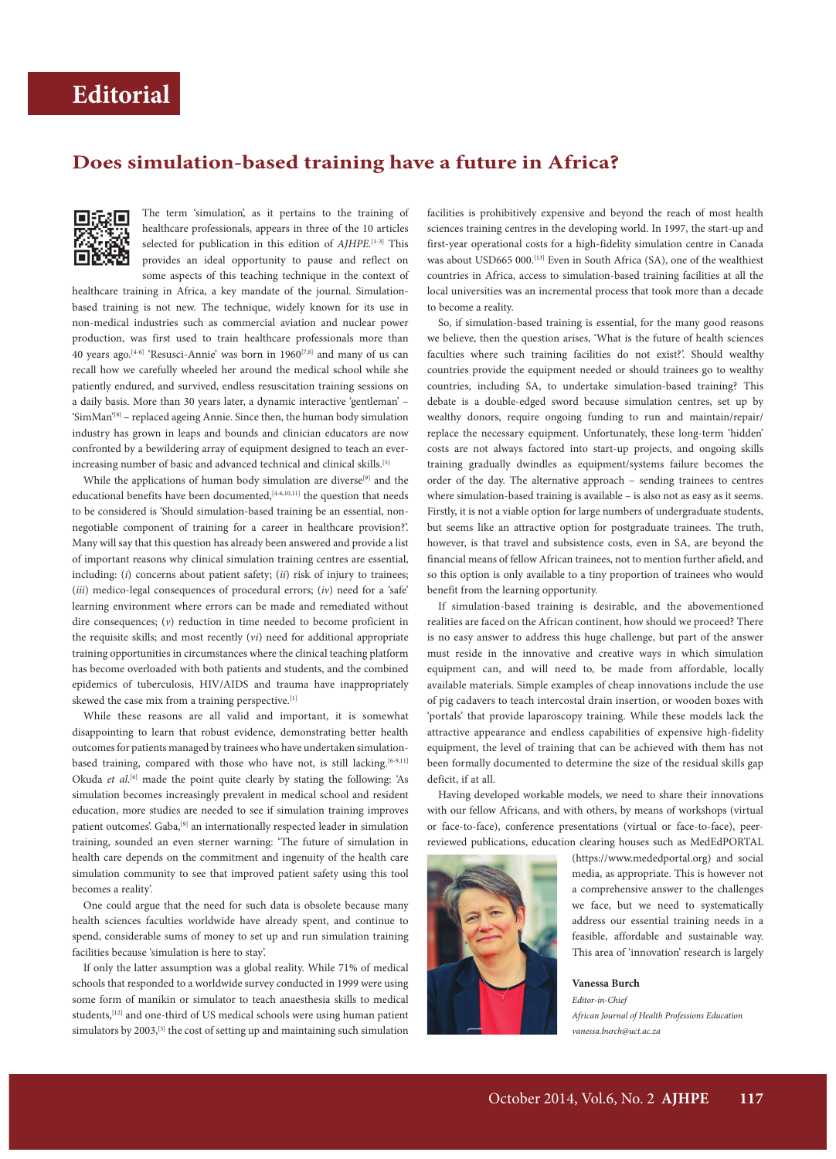## **Does simulation-based training have a future in Africa?**



The term 'simulation', as it pertains to the training of healthcare professionals, appears in three of the 10 articles selected for publication in this edition of *AJHPE*.<sup>[1-3]</sup> This provides an ideal opportunity to pause and reflect on some aspects of this teaching technique in the context of

healthcare training in Africa, a key mandate of the journal. Simulationbased training is not new. The technique, widely known for its use in non-medical industries such as commercial aviation and nuclear power production, was first used to train healthcare professionals more than 40 years ago.[4-6] 'Resusci-Annie' was born in 1960[7,8] and many of us can recall how we carefully wheeled her around the medical school while she patiently endured, and survived, endless resuscitation training sessions on a daily basis. More than 30 years later, a dynamic interactive 'gentleman' – 'SimMan'[8] – replaced ageing Annie. Since then, the human body simulation industry has grown in leaps and bounds and clinician educators are now confronted by a bewildering array of equipment designed to teach an everincreasing number of basic and advanced technical and clinical skills.[5]

While the applications of human body simulation are diverse<sup>[9]</sup> and the educational benefits have been documented,<sup>[4-6,10,11]</sup> the question that needs to be considered is 'Should simulation-based training be an essential, nonnegotiable component of training for a career in healthcare provision?'. Many will say that this question has already been answered and provide a list of important reasons why clinical simulation training centres are essential, including: (*i*) concerns about patient safety; (*ii*) risk of injury to trainees; (*iii*) medico-legal consequences of procedural errors; (*iv*) need for a 'safe' learning environment where errors can be made and remediated without dire consequences; (*v*) reduction in time needed to become proficient in the requisite skills; and most recently (*vi*) need for additional appropriate training opportunities in circumstances where the clinical teaching platform has become overloaded with both patients and students, and the combined epidemics of tuberculosis, HIV/AIDS and trauma have inappropriately skewed the case mix from a training perspective.<sup>[1]</sup>

While these reasons are all valid and important, it is somewhat disappointing to learn that robust evidence, demonstrating better health outcomes for patients managed by trainees who have undertaken simulationbased training, compared with those who have not, is still lacking.<sup>[6-9,11]</sup> Okuda *et al.*<sup>[6]</sup> made the point quite clearly by stating the following: 'As simulation becomes increasingly prevalent in medical school and resident education, more studies are needed to see if simulation training improves patient outcomes'. Gaba,<sup>[9]</sup> an internationally respected leader in simulation training, sounded an even sterner warning: 'The future of simulation in health care depends on the commitment and ingenuity of the health care simulation community to see that improved patient safety using this tool becomes a reality'.

One could argue that the need for such data is obsolete because many health sciences faculties worldwide have already spent, and continue to spend, considerable sums of money to set up and run simulation training facilities because 'simulation is here to stay'.

If only the latter assumption was a global reality. While 71% of medical schools that responded to a worldwide survey conducted in 1999 were using some form of manikin or simulator to teach anaesthesia skills to medical students,[12] and one-third of US medical schools were using human patient simulators by 2003,<sup>[5]</sup> the cost of setting up and maintaining such simulation facilities is prohibitively expensive and beyond the reach of most health sciences training centres in the developing world. In 1997, the start-up and first-year operational costs for a high-fidelity simulation centre in Canada was about USD665 000.<sup>[13]</sup> Even in South Africa (SA), one of the wealthiest countries in Africa, access to simulation-based training facilities at all the local universities was an incremental process that took more than a decade to become a reality.

So, if simulation-based training is essential, for the many good reasons we believe, then the question arises, 'What is the future of health sciences faculties where such training facilities do not exist?'. Should wealthy countries provide the equipment needed or should trainees go to wealthy countries, including SA, to undertake simulation-based training? This debate is a double-edged sword because simulation centres, set up by wealthy donors, require ongoing funding to run and maintain/repair/ replace the necessary equipment. Unfortunately, these long-term 'hidden' costs are not always factored into start-up projects, and ongoing skills training gradually dwindles as equipment/systems failure becomes the order of the day. The alternative approach – sending trainees to centres where simulation-based training is available – is also not as easy as it seems. Firstly, it is not a viable option for large numbers of undergraduate students, but seems like an attractive option for postgraduate trainees. The truth, however, is that travel and subsistence costs, even in SA, are beyond the financial means of fellow African trainees, not to mention further afield, and so this option is only available to a tiny proportion of trainees who would benefit from the learning opportunity.

If simulation-based training is desirable, and the abovementioned realities are faced on the African continent, how should we proceed? There is no easy answer to address this huge challenge, but part of the answer must reside in the innovative and creative ways in which simulation equipment can, and will need to, be made from affordable, locally available materials. Simple examples of cheap innovations include the use of pig cadavers to teach intercostal drain insertion, or wooden boxes with 'portals' that provide laparoscopy training. While these models lack the attractive appearance and endless capabilities of expensive high-fidelity equipment, the level of training that can be achieved with them has not been formally documented to determine the size of the residual skills gap deficit, if at all.

Having developed workable models, we need to share their innovations with our fellow Africans, and with others, by means of workshops (virtual or face-to-face), conference presentations (virtual or face-to-face), peerreviewed publications, education clearing houses such as MedEdPORTAL



(https://www.mededportal.org) and social media, as appropriate. This is however not a comprehensive answer to the challenges we face, but we need to systematically address our essential training needs in a feasible, affordable and sustainable way. This area of 'innovation' research is largely

**Vanessa Burch** *Editor-in-Chief African Journal of Health Professions Education vanessa.burch@uct.ac.za*